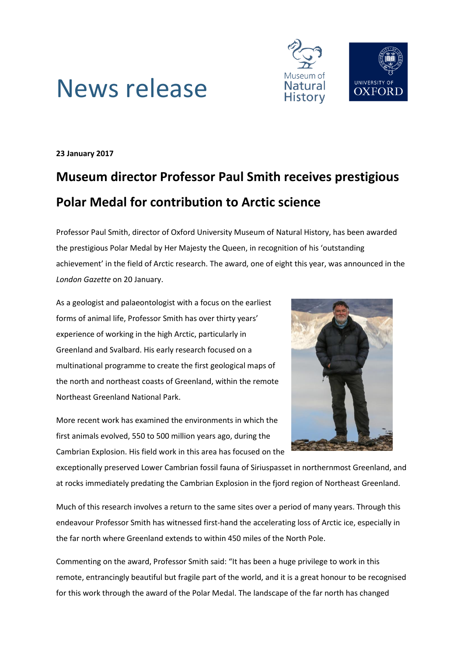



**23 January 2017**

## **Museum director Professor Paul Smith receives prestigious Polar Medal for contribution to Arctic science**

Professor Paul Smith, director of Oxford University Museum of Natural History, has been awarded the prestigious Polar Medal by Her Majesty the Queen, in recognition of his 'outstanding achievement' in the field of Arctic research. The award, one of eight this year, was announced in the *London Gazette* on 20 January.

As a geologist and palaeontologist with a focus on the earliest forms of animal life, Professor Smith has over thirty years' experience of working in the high Arctic, particularly in Greenland and Svalbard. His early research focused on a multinational programme to create the first geological maps of the north and northeast coasts of Greenland, within the remote Northeast Greenland National Park.

More recent work has examined the environments in which the first animals evolved, 550 to 500 million years ago, during the Cambrian Explosion. His field work in this area has focused on the



exceptionally preserved Lower Cambrian fossil fauna of Siriuspasset in northernmost Greenland, and at rocks immediately predating the Cambrian Explosion in the fjord region of Northeast Greenland.

Much of this research involves a return to the same sites over a period of many years. Through this endeavour Professor Smith has witnessed first-hand the accelerating loss of Arctic ice, especially in the far north where Greenland extends to within 450 miles of the North Pole.

Commenting on the award, Professor Smith said: "It has been a huge privilege to work in this remote, entrancingly beautiful but fragile part of the world, and it is a great honour to be recognised for this work through the award of the Polar Medal. The landscape of the far north has changed